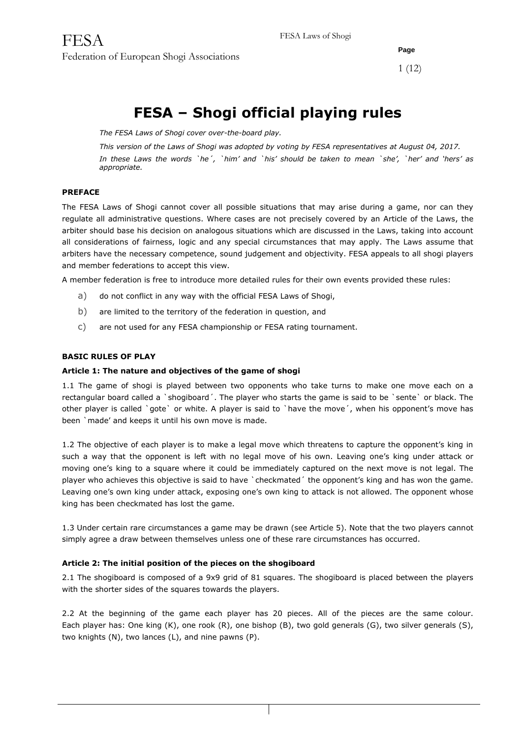**Page** 1 (12)

# **FESA – Shogi official playing rules**

*The FESA Laws of Shogi cover over-the-board play.*

*This version of the Laws of Shogi was adopted by voting by FESA representatives at August 04, 2017. In these Laws the words `he´, `him' and `his' should be taken to mean `she', `her' and 'hers' as appropriate.*

## **PREFACE**

The FESA Laws of Shogi cannot cover all possible situations that may arise during a game, nor can they regulate all administrative questions. Where cases are not precisely covered by an Article of the Laws, the arbiter should base his decision on analogous situations which are discussed in the Laws, taking into account all considerations of fairness, logic and any special circumstances that may apply. The Laws assume that arbiters have the necessary competence, sound judgement and objectivity. FESA appeals to all shogi players and member federations to accept this view.

A member federation is free to introduce more detailed rules for their own events provided these rules:

- a) do not conflict in any way with the official FESA Laws of Shogi,
- b) are limited to the territory of the federation in question, and
- c) are not used for any FESA championship or FESA rating tournament.

## **BASIC RULES OF PLAY**

#### **Article 1: The nature and objectives of the game of shogi**

1.1 The game of shogi is played between two opponents who take turns to make one move each on a rectangular board called a `shogiboard´. The player who starts the game is said to be `sente` or black. The other player is called `gote` or white. A player is said to `have the move´, when his opponent's move has been `made' and keeps it until his own move is made.

1.2 The objective of each player is to make a legal move which threatens to capture the opponent's king in such a way that the opponent is left with no legal move of his own. Leaving one's king under attack or moving one's king to a square where it could be immediately captured on the next move is not legal. The player who achieves this objective is said to have 'checkmated' the opponent's king and has won the game. Leaving one's own king under attack, exposing one's own king to attack is not allowed. The opponent whose king has been checkmated has lost the game.

1.3 Under certain rare circumstances a game may be drawn (see Article 5). Note that the two players cannot simply agree a draw between themselves unless one of these rare circumstances has occurred.

## **Article 2: The initial position of the pieces on the shogiboard**

2.1 The shogiboard is composed of a 9x9 grid of 81 squares. The shogiboard is placed between the players with the shorter sides of the squares towards the players.

2.2 At the beginning of the game each player has 20 pieces. All of the pieces are the same colour. Each player has: One king (K), one rook (R), one bishop (B), two gold generals (G), two silver generals (S), two knights (N), two lances (L), and nine pawns (P).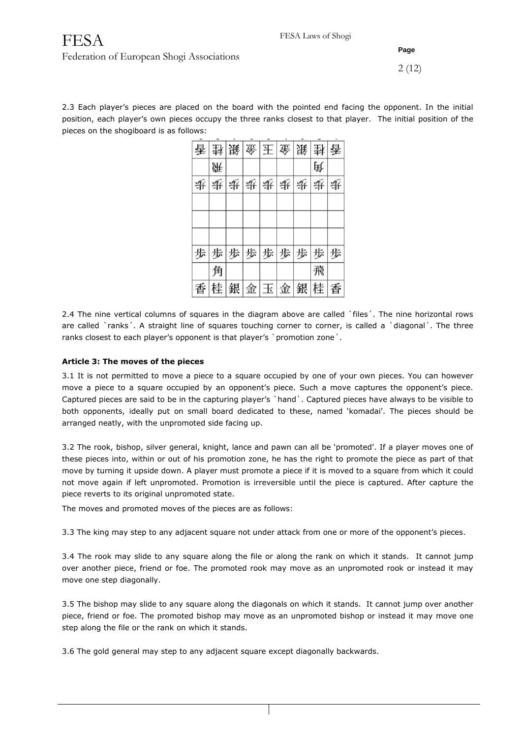## FESA Federation of European Shogi Associations

## **Page**

2.3 Each player's pieces are placed on the board with the pointed end facing the opponent. In the initial position, each player's own pieces occupy the three ranks closest to that player. The initial position of the pieces on the shogiboard is as follows:

|   | 香封 簸 金 王 金 簸 |   |   |    |   |   | 卦春  |   |
|---|--------------|---|---|----|---|---|-----|---|
|   | 豣            |   |   |    |   |   | 睡   |   |
| 垂 | 委            | 赉 | 垂 | 垂  | 录 | 爭 | 录   | 垂 |
|   |              |   |   |    |   |   |     |   |
|   |              |   |   |    |   |   |     |   |
| 歩 | 歩            | 歩 | 歩 | 歩  | 歩 | 歩 | 歩   | 歩 |
|   | 角            |   |   |    |   |   | 飛   |   |
| 香 | 桂            | 銀 |   | 金玉 | 金 |   | 銀桂香 |   |

2.4 The nine vertical columns of squares in the diagram above are called `files'. The nine horizontal rows are called `ranks´. A straight line of squares touching corner to corner, is called a `diagonal´. The three ranks closest to each player's opponent is that player's `promotion zone'.

## **Article 3: The moves of the pieces**

3.1 It is not permitted to move a piece to a square occupied by one of your own pieces. You can however move a piece to a square occupied by an opponent's piece. Such a move captures the opponent's piece. Captured pieces are said to be in the capturing player's `hand`. Captured pieces have always to be visible to both opponents, ideally put on small board dedicated to these, named 'komadai'. The pieces should be arranged neatly, with the unpromoted side facing up.

3.2 The rook, bishop, silver general, knight, lance and pawn can all be 'promoted'. If a player moves one of these pieces into, within or out of his promotion zone, he has the right to promote the piece as part of that move by turning it upside down. A player must promote a piece if it is moved to a square from which it could not move again if left unpromoted. Promotion is irreversible until the piece is captured. After capture the piece reverts to its original unpromoted state.

The moves and promoted moves of the pieces are as follows:

3.3 The king may step to any adjacent square not under attack from one or more of the opponent's pieces.

3.4 The rook may slide to any square along the file or along the rank on which it stands. It cannot jump over another piece, friend or foe. The promoted rook may move as an unpromoted rook or instead it may move one step diagonally.

3.5 The bishop may slide to any square along the diagonals on which it stands. It cannot jump over another piece, friend or foe. The promoted bishop may move as an unpromoted bishop or instead it may move one step along the file or the rank on which it stands.

3.6 The gold general may step to any adjacent square except diagonally backwards.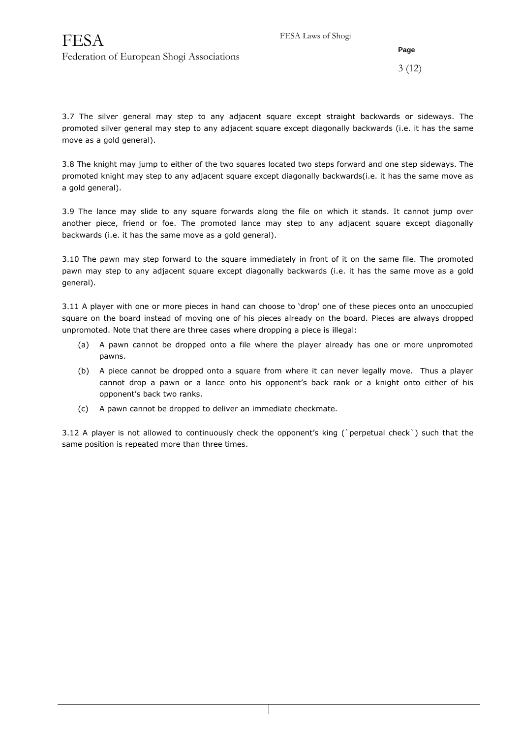3 (12)

3.7 The silver general may step to any adjacent square except straight backwards or sideways. The promoted silver general may step to any adjacent square except diagonally backwards (i.e. it has the same move as a gold general).

3.8 The knight may jump to either of the two squares located two steps forward and one step sideways. The promoted knight may step to any adjacent square except diagonally backwards(i.e. it has the same move as a gold general).

3.9 The lance may slide to any square forwards along the file on which it stands. It cannot jump over another piece, friend or foe. The promoted lance may step to any adjacent square except diagonally backwards (i.e. it has the same move as a gold general).

3.10 The pawn may step forward to the square immediately in front of it on the same file. The promoted pawn may step to any adjacent square except diagonally backwards (i.e. it has the same move as a gold general).

3.11 A player with one or more pieces in hand can choose to 'drop' one of these pieces onto an unoccupied square on the board instead of moving one of his pieces already on the board. Pieces are always dropped unpromoted. Note that there are three cases where dropping a piece is illegal:

- (a) A pawn cannot be dropped onto a file where the player already has one or more unpromoted pawns.
- (b) A piece cannot be dropped onto a square from where it can never legally move. Thus a player cannot drop a pawn or a lance onto his opponent's back rank or a knight onto either of his opponent's back two ranks.
- (c) A pawn cannot be dropped to deliver an immediate checkmate.

3.12 A player is not allowed to continuously check the opponent's king (`perpetual check`) such that the same position is repeated more than three times.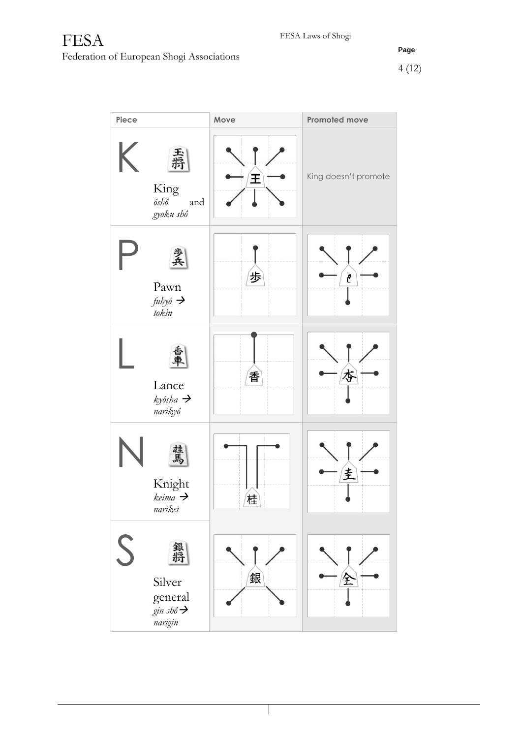| Piece |                                                             | Move | Promoted move        |
|-------|-------------------------------------------------------------|------|----------------------|
| K.    | 丟捐<br>King<br>ôshô<br>and<br>gyoku shô                      | 王    | King doesn't promote |
|       | 罢兵<br>Pawn<br>$f u h y \hat{o} \rightarrow$<br>tokin        | 歩    | C                    |
|       | Lance<br>kyôsha →<br>narikyô                                | 香    | 杏                    |
|       | 祖<br>Œ<br>Knight<br>keima $\rightarrow$<br>narikei          | 佳    | 圭                    |
| S     | 銀將<br>Silver<br>general<br>gin shô $\rightarrow$<br>narigin | 銀    | 全                    |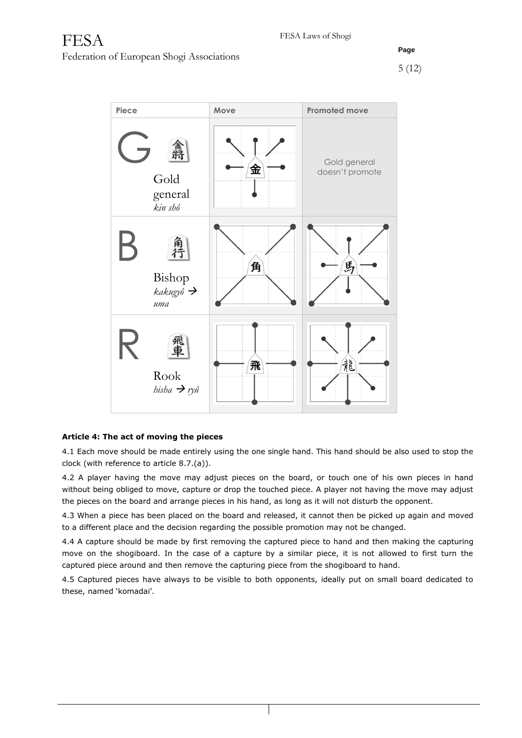

## **Article 4: The act of moving the pieces**

4.1 Each move should be made entirely using the one single hand. This hand should be also used to stop the clock (with reference to article 8.7.(a)).

4.2 A player having the move may adjust pieces on the board, or touch one of his own pieces in hand without being obliged to move, capture or drop the touched piece. A player not having the move may adjust the pieces on the board and arrange pieces in his hand, as long as it will not disturb the opponent.

4.3 When a piece has been placed on the board and released, it cannot then be picked up again and moved to a different place and the decision regarding the possible promotion may not be changed.

4.4 A capture should be made by first removing the captured piece to hand and then making the capturing move on the shogiboard. In the case of a capture by a similar piece, it is not allowed to first turn the captured piece around and then remove the capturing piece from the shogiboard to hand.

4.5 Captured pieces have always to be visible to both opponents, ideally put on small board dedicated to these, named 'komadai'.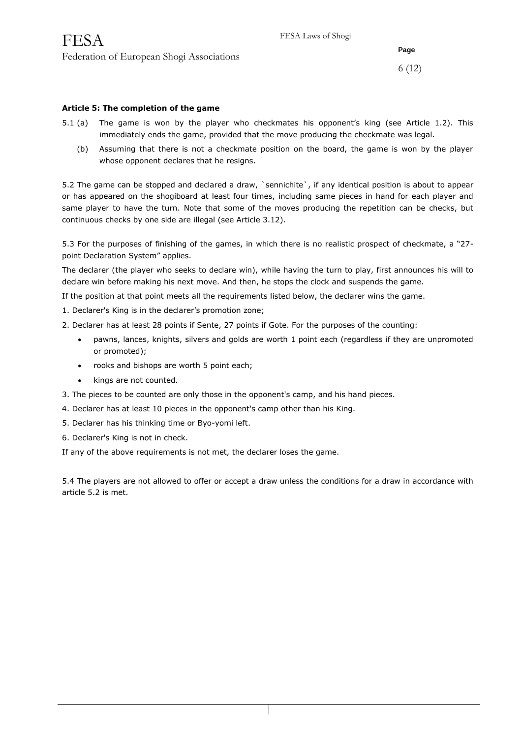6 (12)

#### **Article 5: The completion of the game**

- 5.1 (a) The game is won by the player who checkmates his opponent's king (see Article 1.2). This immediately ends the game, provided that the move producing the checkmate was legal.
	- (b) Assuming that there is not a checkmate position on the board, the game is won by the player whose opponent declares that he resigns.

5.2 The game can be stopped and declared a draw, `sennichite`, if any identical position is about to appear or has appeared on the shogiboard at least four times, including same pieces in hand for each player and same player to have the turn. Note that some of the moves producing the repetition can be checks, but continuous checks by one side are illegal (see Article 3.12).

5.3 For the purposes of finishing of the games, in which there is no realistic prospect of checkmate, a "27 point Declaration System" applies.

The declarer (the player who seeks to declare win), while having the turn to play, first announces his will to declare win before making his next move. And then, he stops the clock and suspends the game.

If the position at that point meets all the requirements listed below, the declarer wins the game.

- 1. Declarer's King is in the declarer's promotion zone;
- 2. Declarer has at least 28 points if Sente, 27 points if Gote. For the purposes of the counting:
	- pawns, lances, knights, silvers and golds are worth 1 point each (regardless if they are unpromoted or promoted);
	- rooks and bishops are worth 5 point each;
	- kings are not counted.
- 3. The pieces to be counted are only those in the opponent's camp, and his hand pieces.
- 4. Declarer has at least 10 pieces in the opponent's camp other than his King.
- 5. Declarer has his thinking time or Byo-yomi left.
- 6. Declarer's King is not in check.

If any of the above requirements is not met, the declarer loses the game.

5.4 The players are not allowed to offer or accept a draw unless the conditions for a draw in accordance with article 5.2 is met.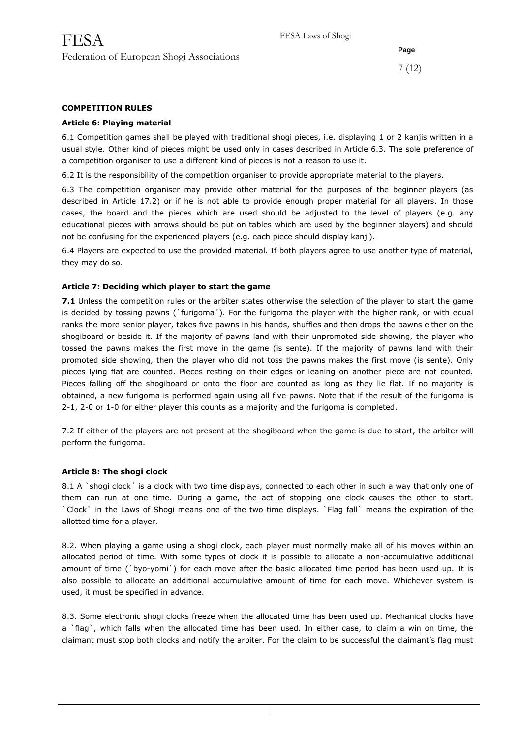7 (12)

## **COMPETITION RULES**

## **Article 6: Playing material**

6.1 Competition games shall be played with traditional shogi pieces, i.e. displaying 1 or 2 kanjis written in a usual style. Other kind of pieces might be used only in cases described in Article 6.3. The sole preference of a competition organiser to use a different kind of pieces is not a reason to use it.

6.2 It is the responsibility of the competition organiser to provide appropriate material to the players.

6.3 The competition organiser may provide other material for the purposes of the beginner players (as described in Article 17.2) or if he is not able to provide enough proper material for all players. In those cases, the board and the pieces which are used should be adjusted to the level of players (e.g. any educational pieces with arrows should be put on tables which are used by the beginner players) and should not be confusing for the experienced players (e.g. each piece should display kanji).

6.4 Players are expected to use the provided material. If both players agree to use another type of material, they may do so.

## **Article 7: Deciding which player to start the game**

**7.1** Unless the competition rules or the arbiter states otherwise the selection of the player to start the game is decided by tossing pawns (`furigoma´). For the furigoma the player with the higher rank, or with equal ranks the more senior player, takes five pawns in his hands, shuffles and then drops the pawns either on the shogiboard or beside it. If the majority of pawns land with their unpromoted side showing, the player who tossed the pawns makes the first move in the game (is sente). If the majority of pawns land with their promoted side showing, then the player who did not toss the pawns makes the first move (is sente). Only pieces lying flat are counted. Pieces resting on their edges or leaning on another piece are not counted. Pieces falling off the shogiboard or onto the floor are counted as long as they lie flat. If no majority is obtained, a new furigoma is performed again using all five pawns. Note that if the result of the furigoma is 2-1, 2-0 or 1-0 for either player this counts as a majority and the furigoma is completed.

7.2 If either of the players are not present at the shogiboard when the game is due to start, the arbiter will perform the furigoma.

#### **Article 8: The shogi clock**

8.1 A `shogi clock´ is a clock with two time displays, connected to each other in such a way that only one of them can run at one time. During a game, the act of stopping one clock causes the other to start. `Clock` in the Laws of Shogi means one of the two time displays. `Flag fall` means the expiration of the allotted time for a player.

8.2. When playing a game using a shogi clock, each player must normally make all of his moves within an allocated period of time. With some types of clock it is possible to allocate a non-accumulative additional amount of time (`byo-yomi`) for each move after the basic allocated time period has been used up. It is also possible to allocate an additional accumulative amount of time for each move. Whichever system is used, it must be specified in advance.

8.3. Some electronic shogi clocks freeze when the allocated time has been used up. Mechanical clocks have a `flag`, which falls when the allocated time has been used. In either case, to claim a win on time, the claimant must stop both clocks and notify the arbiter. For the claim to be successful the claimant's flag must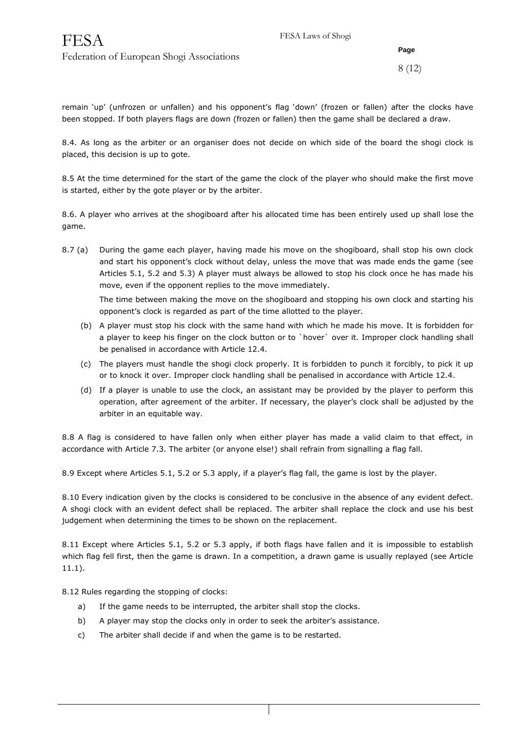## 8 (12)

remain 'up' (unfrozen or unfallen) and his opponent's flag 'down' (frozen or fallen) after the clocks have been stopped. If both players flags are down (frozen or fallen) then the game shall be declared a draw.

8.4. As long as the arbiter or an organiser does not decide on which side of the board the shogi clock is placed, this decision is up to gote.

8.5 At the time determined for the start of the game the clock of the player who should make the first move is started, either by the gote player or by the arbiter.

8.6. A player who arrives at the shogiboard after his allocated time has been entirely used up shall lose the game.

8.7 (a) During the game each player, having made his move on the shogiboard, shall stop his own clock and start his opponent's clock without delay, unless the move that was made ends the game (see Articles 5.1, 5.2 and 5.3) A player must always be allowed to stop his clock once he has made his move, even if the opponent replies to the move immediately.

The time between making the move on the shogiboard and stopping his own clock and starting his opponent's clock is regarded as part of the time allotted to the player.

- (b) A player must stop his clock with the same hand with which he made his move. It is forbidden for a player to keep his finger on the clock button or to `hover` over it. Improper clock handling shall be penalised in accordance with Article 12.4.
- (c) The players must handle the shogi clock properly. It is forbidden to punch it forcibly, to pick it up or to knock it over. Improper clock handling shall be penalised in accordance with Article 12.4.
- (d) If a player is unable to use the clock, an assistant may be provided by the player to perform this operation, after agreement of the arbiter. If necessary, the player's clock shall be adjusted by the arbiter in an equitable way.

8.8 A flag is considered to have fallen only when either player has made a valid claim to that effect, in accordance with Article 7.3. The arbiter (or anyone else!) shall refrain from signalling a flag fall.

8.9 Except where Articles 5.1, 5.2 or 5.3 apply, if a player's flag fall, the game is lost by the player.

8.10 Every indication given by the clocks is considered to be conclusive in the absence of any evident defect. A shogi clock with an evident defect shall be replaced. The arbiter shall replace the clock and use his best judgement when determining the times to be shown on the replacement.

8.11 Except where Articles 5.1, 5.2 or 5.3 apply, if both flags have fallen and it is impossible to establish which flag fell first, then the game is drawn. In a competition, a drawn game is usually replayed (see Article 11.1).

8.12 Rules regarding the stopping of clocks:

- a) If the game needs to be interrupted, the arbiter shall stop the clocks.
- b) A player may stop the clocks only in order to seek the arbiter's assistance.
- c) The arbiter shall decide if and when the game is to be restarted.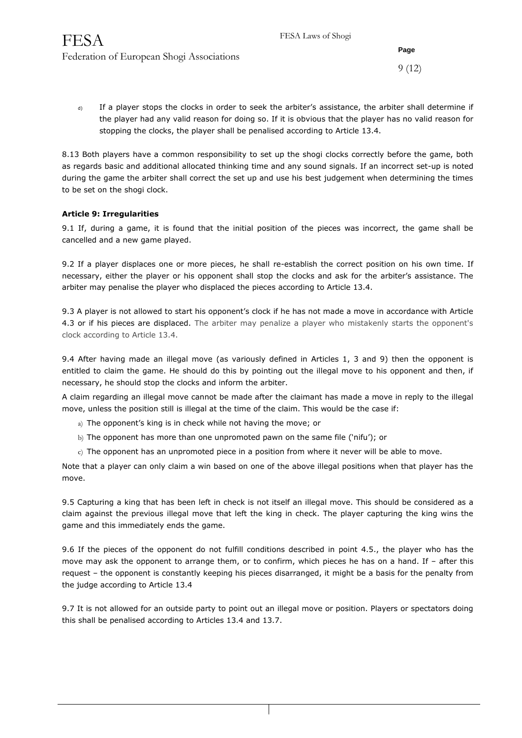9 (12)

d) If a player stops the clocks in order to seek the arbiter's assistance, the arbiter shall determine if the player had any valid reason for doing so. If it is obvious that the player has no valid reason for stopping the clocks, the player shall be penalised according to Article 13.4.

8.13 Both players have a common responsibility to set up the shogi clocks correctly before the game, both as regards basic and additional allocated thinking time and any sound signals. If an incorrect set-up is noted during the game the arbiter shall correct the set up and use his best judgement when determining the times to be set on the shogi clock.

## **Article 9: Irregularities**

9.1 If, during a game, it is found that the initial position of the pieces was incorrect, the game shall be cancelled and a new game played.

9.2 If a player displaces one or more pieces, he shall re-establish the correct position on his own time. If necessary, either the player or his opponent shall stop the clocks and ask for the arbiter's assistance. The arbiter may penalise the player who displaced the pieces according to Article 13.4.

9.3 A player is not allowed to start his opponent's clock if he has not made a move in accordance with Article 4.3 or if his pieces are displaced. The arbiter may penalize a player who mistakenly starts the opponent's clock according to Article 13.4.

9.4 After having made an illegal move (as variously defined in Articles 1, 3 and 9) then the opponent is entitled to claim the game. He should do this by pointing out the illegal move to his opponent and then, if necessary, he should stop the clocks and inform the arbiter.

A claim regarding an illegal move cannot be made after the claimant has made a move in reply to the illegal move, unless the position still is illegal at the time of the claim. This would be the case if:

- a) The opponent's king is in check while not having the move; or
- b) The opponent has more than one unpromoted pawn on the same file ('nifu'); or
- c) The opponent has an unpromoted piece in a position from where it never will be able to move.

Note that a player can only claim a win based on one of the above illegal positions when that player has the move.

9.5 Capturing a king that has been left in check is not itself an illegal move. This should be considered as a claim against the previous illegal move that left the king in check. The player capturing the king wins the game and this immediately ends the game.

9.6 If the pieces of the opponent do not fulfill conditions described in point 4.5., the player who has the move may ask the opponent to arrange them, or to confirm, which pieces he has on a hand. If – after this request – the opponent is constantly keeping his pieces disarranged, it might be a basis for the penalty from the judge according to Article 13.4

9.7 It is not allowed for an outside party to point out an illegal move or position. Players or spectators doing this shall be penalised according to Articles 13.4 and 13.7.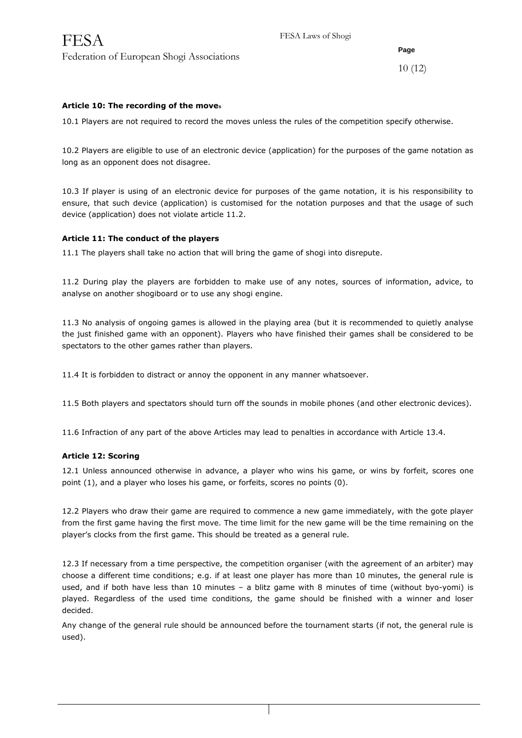10 (12)

## **Article 10: The recording of the moves**

10.1 Players are not required to record the moves unless the rules of the competition specify otherwise.

10.2 Players are eligible to use of an electronic device (application) for the purposes of the game notation as long as an opponent does not disagree.

10.3 If player is using of an electronic device for purposes of the game notation, it is his responsibility to ensure, that such device (application) is customised for the notation purposes and that the usage of such device (application) does not violate article 11.2.

#### **Article 11: The conduct of the players**

11.1 The players shall take no action that will bring the game of shogi into disrepute.

11.2 During play the players are forbidden to make use of any notes, sources of information, advice, to analyse on another shogiboard or to use any shogi engine.

11.3 No analysis of ongoing games is allowed in the playing area (but it is recommended to quietly analyse the just finished game with an opponent). Players who have finished their games shall be considered to be spectators to the other games rather than players.

11.4 It is forbidden to distract or annoy the opponent in any manner whatsoever.

11.5 Both players and spectators should turn off the sounds in mobile phones (and other electronic devices).

11.6 Infraction of any part of the above Articles may lead to penalties in accordance with Article 13.4.

#### **Article 12: Scoring**

12.1 Unless announced otherwise in advance, a player who wins his game, or wins by forfeit, scores one point (1), and a player who loses his game, or forfeits, scores no points (0).

12.2 Players who draw their game are required to commence a new game immediately, with the gote player from the first game having the first move. The time limit for the new game will be the time remaining on the player's clocks from the first game. This should be treated as a general rule.

12.3 If necessary from a time perspective, the competition organiser (with the agreement of an arbiter) may choose a different time conditions; e.g. if at least one player has more than 10 minutes, the general rule is used, and if both have less than 10 minutes – a blitz game with 8 minutes of time (without byo-yomi) is played. Regardless of the used time conditions, the game should be finished with a winner and loser decided.

Any change of the general rule should be announced before the tournament starts (if not, the general rule is used).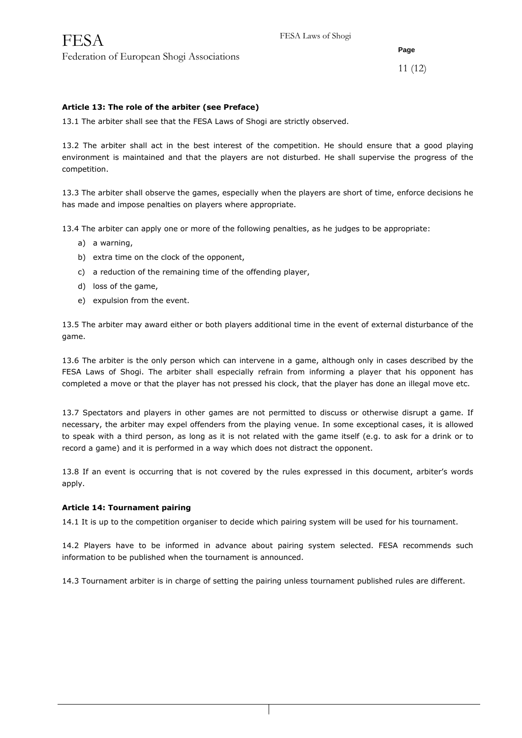11 (12)

## **Article 13: The role of the arbiter (see Preface)**

13.1 The arbiter shall see that the FESA Laws of Shogi are strictly observed.

13.2 The arbiter shall act in the best interest of the competition. He should ensure that a good playing environment is maintained and that the players are not disturbed. He shall supervise the progress of the competition.

13.3 The arbiter shall observe the games, especially when the players are short of time, enforce decisions he has made and impose penalties on players where appropriate.

13.4 The arbiter can apply one or more of the following penalties, as he judges to be appropriate:

- a) a warning,
- b) extra time on the clock of the opponent,
- c) a reduction of the remaining time of the offending player,
- d) loss of the game,
- e) expulsion from the event.

13.5 The arbiter may award either or both players additional time in the event of external disturbance of the game.

13.6 The arbiter is the only person which can intervene in a game, although only in cases described by the FESA Laws of Shogi. The arbiter shall especially refrain from informing a player that his opponent has completed a move or that the player has not pressed his clock, that the player has done an illegal move etc.

13.7 Spectators and players in other games are not permitted to discuss or otherwise disrupt a game. If necessary, the arbiter may expel offenders from the playing venue. In some exceptional cases, it is allowed to speak with a third person, as long as it is not related with the game itself (e.g. to ask for a drink or to record a game) and it is performed in a way which does not distract the opponent.

13.8 If an event is occurring that is not covered by the rules expressed in this document, arbiter's words apply.

#### **Article 14: Tournament pairing**

14.1 It is up to the competition organiser to decide which pairing system will be used for his tournament.

14.2 Players have to be informed in advance about pairing system selected. FESA recommends such information to be published when the tournament is announced.

14.3 Tournament arbiter is in charge of setting the pairing unless tournament published rules are different.